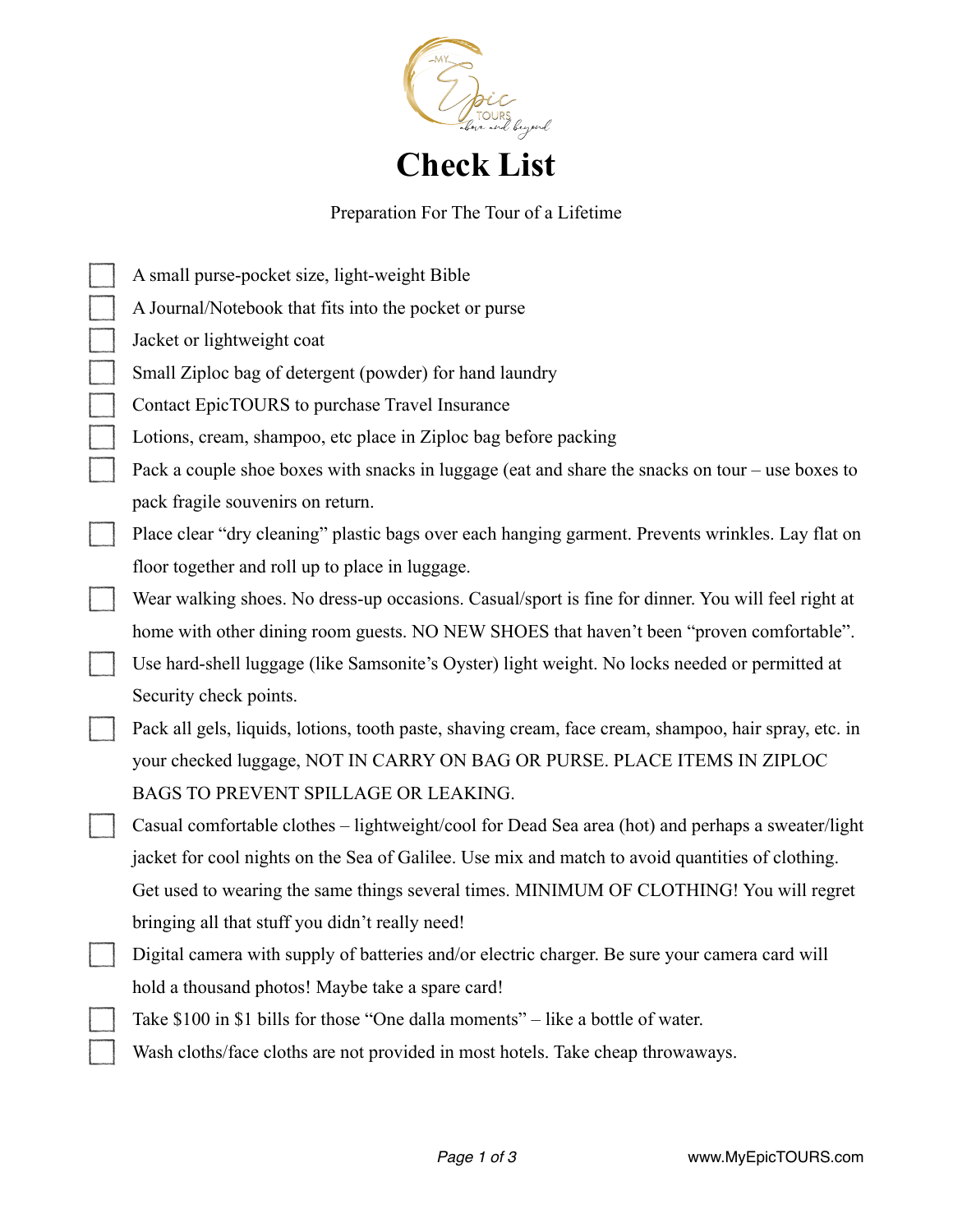

## Preparation For The Tour of a Lifetime

| A small purse-pocket size, light-weight Bible                                                         |
|-------------------------------------------------------------------------------------------------------|
| A Journal/Notebook that fits into the pocket or purse                                                 |
| Jacket or lightweight coat                                                                            |
| Small Ziploc bag of detergent (powder) for hand laundry                                               |
| Contact EpicTOURS to purchase Travel Insurance                                                        |
| Lotions, cream, shampoo, etc place in Ziploc bag before packing                                       |
| Pack a couple shoe boxes with snacks in luggage (eat and share the snacks on tour $-$ use boxes to    |
| pack fragile souvenirs on return.                                                                     |
| Place clear "dry cleaning" plastic bags over each hanging garment. Prevents wrinkles. Lay flat on     |
| floor together and roll up to place in luggage.                                                       |
| Wear walking shoes. No dress-up occasions. Casual/sport is fine for dinner. You will feel right at    |
| home with other dining room guests. NO NEW SHOES that haven't been "proven comfortable".              |
| Use hard-shell luggage (like Samsonite's Oyster) light weight. No locks needed or permitted at        |
| Security check points.                                                                                |
| Pack all gels, liquids, lotions, tooth paste, shaving cream, face cream, shampoo, hair spray, etc. in |
| your checked luggage, NOT IN CARRY ON BAG OR PURSE. PLACE ITEMS IN ZIPLOC                             |
| BAGS TO PREVENT SPILLAGE OR LEAKING.                                                                  |
| Casual comfortable clothes – lightweight/cool for Dead Sea area (hot) and perhaps a sweater/light     |
| jacket for cool nights on the Sea of Galilee. Use mix and match to avoid quantities of clothing.      |
| Get used to wearing the same things several times. MINIMUM OF CLOTHING! You will regret               |
| bringing all that stuff you didn't really need!                                                       |
| Digital camera with supply of batteries and/or electric charger. Be sure your camera card will        |
| hold a thousand photos! Maybe take a spare card!                                                      |
| Take \$100 in \$1 bills for those "One dalla moments" - like a bottle of water.                       |
| Wash cloths/face cloths are not provided in most hotels. Take cheap throwaways.                       |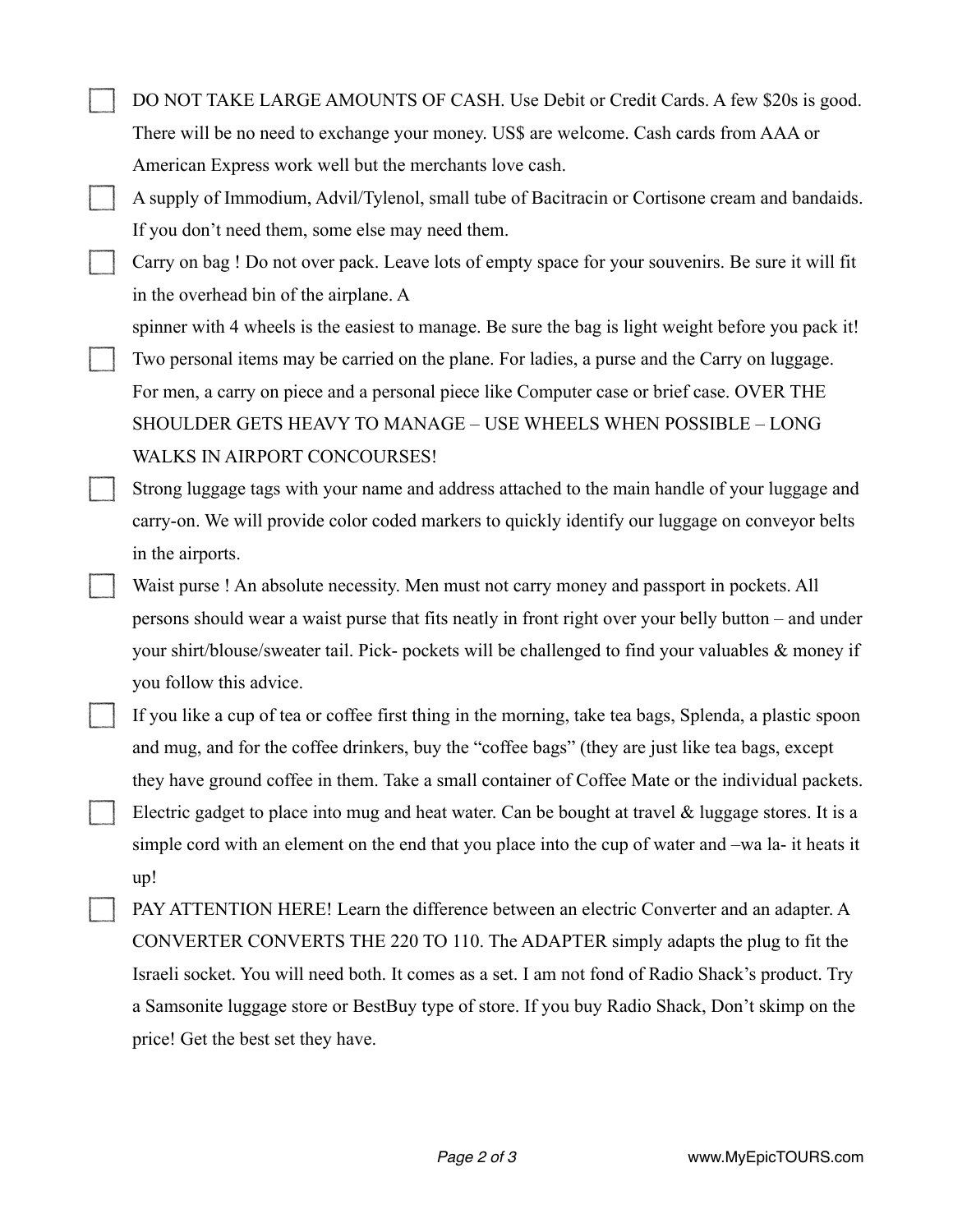- DO NOT TAKE LARGE AMOUNTS OF CASH. Use Debit or Credit Cards. A few \$20s is good. There will be no need to exchange your money. US\$ are welcome. Cash cards from AAA or American Express work well but the merchants love cash.
- A supply of Immodium, Advil/Tylenol, small tube of Bacitracin or Cortisone cream and bandaids. If you don't need them, some else may need them.
- Carry on bag ! Do not over pack. Leave lots of empty space for your souvenirs. Be sure it will fit in the overhead bin of the airplane. A
- spinner with 4 wheels is the easiest to manage. Be sure the bag is light weight before you pack it! Two personal items may be carried on the plane. For ladies, a purse and the Carry on luggage. For men, a carry on piece and a personal piece like Computer case or brief case. OVER THE SHOULDER GETS HEAVY TO MANAGE – USE WHEELS WHEN POSSIBLE – LONG WALKS IN AIRPORT CONCOURSES!
- Strong luggage tags with your name and address attached to the main handle of your luggage and carry-on. We will provide color coded markers to quickly identify our luggage on conveyor belts in the airports.
- Waist purse ! An absolute necessity. Men must not carry money and passport in pockets. All persons should wear a waist purse that fits neatly in front right over your belly button – and under your shirt/blouse/sweater tail. Pick- pockets will be challenged to find your valuables & money if you follow this advice.
- If you like a cup of tea or coffee first thing in the morning, take tea bags, Splenda, a plastic spoon and mug, and for the coffee drinkers, buy the "coffee bags" (they are just like tea bags, except they have ground coffee in them. Take a small container of Coffee Mate or the individual packets. Electric gadget to place into mug and heat water. Can be bought at travel & luggage stores. It is a simple cord with an element on the end that you place into the cup of water and –wa la- it heats it up!
- PAY ATTENTION HERE! Learn the difference between an electric Converter and an adapter. A CONVERTER CONVERTS THE 220 TO 110. The ADAPTER simply adapts the plug to fit the Israeli socket. You will need both. It comes as a set. I am not fond of Radio Shack's product. Try a Samsonite luggage store or BestBuy type of store. If you buy Radio Shack, Don't skimp on the price! Get the best set they have.